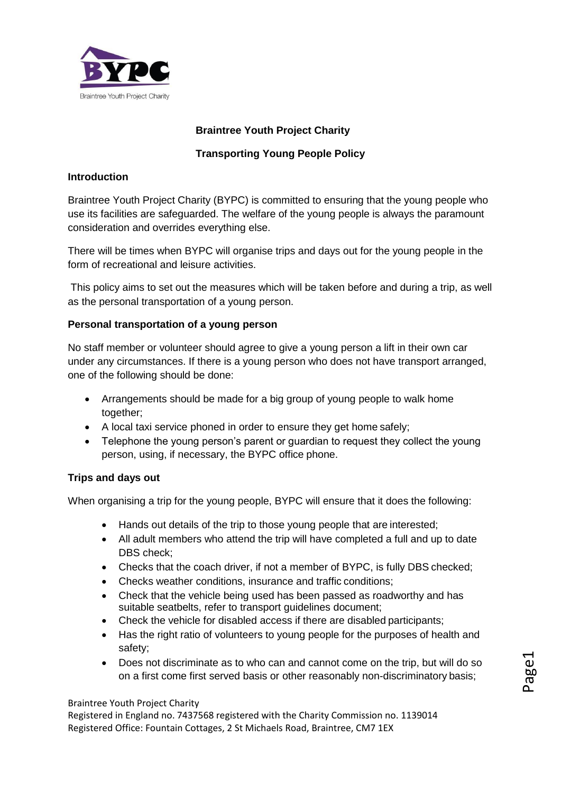

# **Braintree Youth Project Charity**

# **Transporting Young People Policy**

### **Introduction**

Braintree Youth Project Charity (BYPC) is committed to ensuring that the young people who use its facilities are safeguarded. The welfare of the young people is always the paramount consideration and overrides everything else.

There will be times when BYPC will organise trips and days out for the young people in the form of recreational and leisure activities.

This policy aims to set out the measures which will be taken before and during a trip, as well as the personal transportation of a young person.

### **Personal transportation of a young person**

No staff member or volunteer should agree to give a young person a lift in their own car under any circumstances. If there is a young person who does not have transport arranged, one of the following should be done:

- Arrangements should be made for a big group of young people to walk home together;
- A local taxi service phoned in order to ensure they get home safely;
- Telephone the young person's parent or guardian to request they collect the young person, using, if necessary, the BYPC office phone.

#### **Trips and days out**

When organising a trip for the young people, BYPC will ensure that it does the following:

- Hands out details of the trip to those young people that are interested;
- All adult members who attend the trip will have completed a full and up to date DBS check:
- Checks that the coach driver, if not a member of BYPC, is fully DBS checked;
- Checks weather conditions, insurance and traffic conditions;
- Check that the vehicle being used has been passed as roadworthy and has suitable seatbelts, refer to transport guidelines document;
- Check the vehicle for disabled access if there are disabled participants;
- Has the right ratio of volunteers to young people for the purposes of health and safety;
- Does not discriminate as to who can and cannot come on the trip, but will do so on a first come first served basis or other reasonably non-discriminatory basis;

#### Braintree Youth Project Charity

Registered in England no. 7437568 registered with the Charity Commission no. 1139014 Registered Office: Fountain Cottages, 2 St Michaels Road, Braintree, CM7 1EX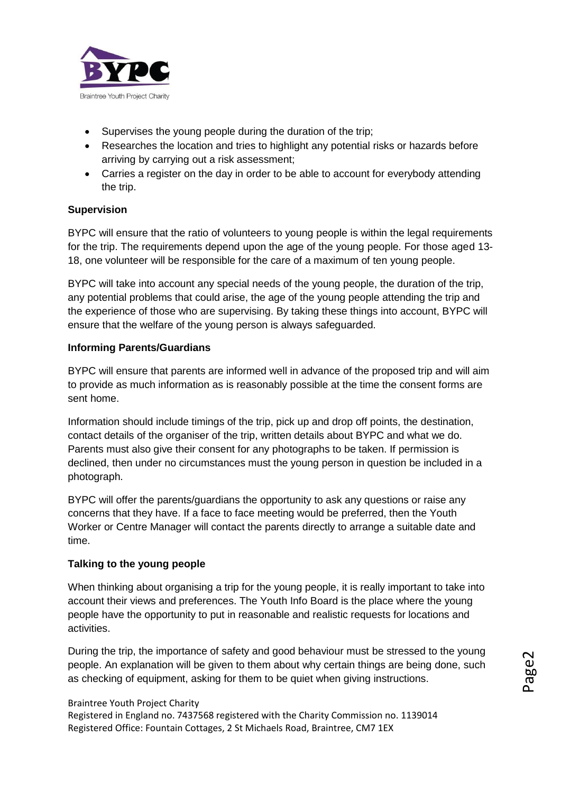

- Supervises the young people during the duration of the trip;
- Researches the location and tries to highlight any potential risks or hazards before arriving by carrying out a risk assessment;
- Carries a register on the day in order to be able to account for everybody attending the trip.

### **Supervision**

BYPC will ensure that the ratio of volunteers to young people is within the legal requirements for the trip. The requirements depend upon the age of the young people. For those aged 13- 18, one volunteer will be responsible for the care of a maximum of ten young people.

BYPC will take into account any special needs of the young people, the duration of the trip, any potential problems that could arise, the age of the young people attending the trip and the experience of those who are supervising. By taking these things into account, BYPC will ensure that the welfare of the young person is always safeguarded.

#### **Informing Parents/Guardians**

BYPC will ensure that parents are informed well in advance of the proposed trip and will aim to provide as much information as is reasonably possible at the time the consent forms are sent home.

Information should include timings of the trip, pick up and drop off points, the destination, contact details of the organiser of the trip, written details about BYPC and what we do. Parents must also give their consent for any photographs to be taken. If permission is declined, then under no circumstances must the young person in question be included in a photograph.

BYPC will offer the parents/guardians the opportunity to ask any questions or raise any concerns that they have. If a face to face meeting would be preferred, then the Youth Worker or Centre Manager will contact the parents directly to arrange a suitable date and time.

#### **Talking to the young people**

When thinking about organising a trip for the young people, it is really important to take into account their views and preferences. The Youth Info Board is the place where the young people have the opportunity to put in reasonable and realistic requests for locations and activities.

During the trip, the importance of safety and good behaviour must be stressed to the young people. An explanation will be given to them about why certain things are being done, such as checking of equipment, asking for them to be quiet when giving instructions.

#### Braintree Youth Project Charity

Registered in England no. 7437568 registered with the Charity Commission no. 1139014 Registered Office: Fountain Cottages, 2 St Michaels Road, Braintree, CM7 1EX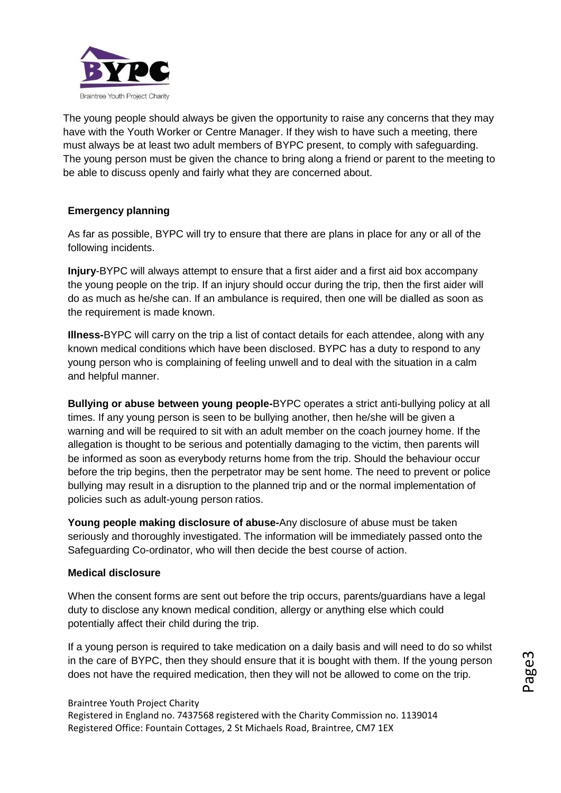

The young people should always be given the opportunity to raise any concerns that they may have with the Youth Worker or Centre Manager. If they wish to have such a meeting, there must always be at least two adult members of BYPC present, to comply with safeguarding. The young person must be given the chance to bring along a friend or parent to the meeting to be able to discuss openly and fairly what they are concerned about.

# **Emergency planning**

As far as possible, BYPC will try to ensure that there are plans in place for any or all of the following incidents.

**Injury**-BYPC will always attempt to ensure that a first aider and a first aid box accompany the young people on the trip. If an injury should occur during the trip, then the first aider will do as much as he/she can. If an ambulance is required, then one will be dialled as soon as the requirement is made known.

**Illness-**BYPC will carry on the trip a list of contact details for each attendee, along with any known medical conditions which have been disclosed. BYPC has a duty to respond to any young person who is complaining of feeling unwell and to deal with the situation in a calm and helpful manner.

**Bullying or abuse between young people-**BYPC operates a strict anti-bullying policy at all times. If any young person is seen to be bullying another, then he/she will be given a warning and will be required to sit with an adult member on the coach journey home. If the allegation is thought to be serious and potentially damaging to the victim, then parents will be informed as soon as everybody returns home from the trip. Should the behaviour occur before the trip begins, then the perpetrator may be sent home. The need to prevent or police bullying may result in a disruption to the planned trip and or the normal implementation of policies such as adult-young person ratios.

**Young people making disclosure of abuse-**Any disclosure of abuse must be taken seriously and thoroughly investigated. The information will be immediately passed onto the Safeguarding Co-ordinator, who will then decide the best course of action.

#### **Medical disclosure**

When the consent forms are sent out before the trip occurs, parents/guardians have a legal duty to disclose any known medical condition, allergy or anything else which could potentially affect their child during the trip.

If a young person is required to take medication on a daily basis and will need to do so whilst in the care of BYPC, then they should ensure that it is bought with them. If the young person does not have the required medication, then they will not be allowed to come on the trip.

#### Braintree Youth Project Charity

Registered in England no. 7437568 registered with the Charity Commission no. 1139014 Registered Office: Fountain Cottages, 2 St Michaels Road, Braintree, CM7 1EX